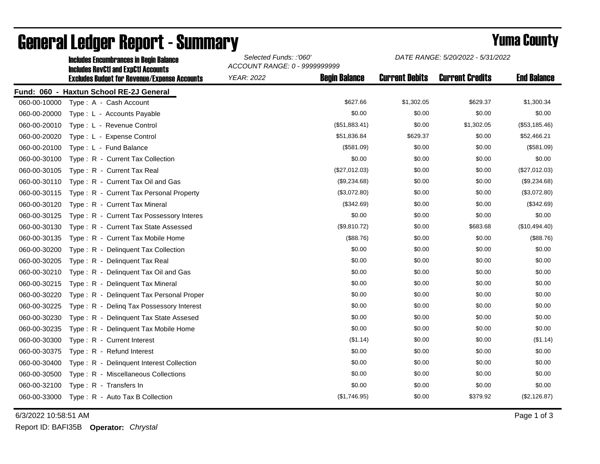|              | Incidues Encumbrances In Beuni Baiance<br><b>Includes RevCtI and ExpCtI Accounts</b> | ACCOUNT RANGE: 0 - 9999999999 |                      |                       |                        |                    |
|--------------|--------------------------------------------------------------------------------------|-------------------------------|----------------------|-----------------------|------------------------|--------------------|
|              | <b>Excludes Budget for Revenue/Expense Accounts</b>                                  | <b>YEAR: 2022</b>             | <b>Begin Balance</b> | <b>Current Debits</b> | <b>Current Credits</b> | <b>End Balance</b> |
|              | Fund: 060 - Haxtun School RE-2J General                                              |                               |                      |                       |                        |                    |
| 060-00-10000 | Type: A - Cash Account                                                               |                               | \$627.66             | \$1,302.05            | \$629.37               | \$1,300.34         |
| 060-00-20000 | Type: L - Accounts Payable                                                           |                               | \$0.00               | \$0.00                | \$0.00                 | \$0.00             |
| 060-00-20010 | Type: L - Revenue Control                                                            |                               | (\$51,883.41)        | \$0.00                | \$1,302.05             | (\$53,185.46)      |
| 060-00-20020 | Type: L - Expense Control                                                            |                               | \$51,836.84          | \$629.37              | \$0.00                 | \$52,466.21        |
| 060-00-20100 | Type: L - Fund Balance                                                               |                               | (\$581.09)           | \$0.00                | \$0.00                 | (\$581.09)         |
| 060-00-30100 | Type: R - Current Tax Collection                                                     |                               | \$0.00               | \$0.00                | \$0.00                 | \$0.00             |
| 060-00-30105 | Type: R - Current Tax Real                                                           |                               | (\$27,012.03)        | \$0.00                | \$0.00                 | (\$27,012.03)      |
| 060-00-30110 | Type: R - Current Tax Oil and Gas                                                    |                               | (\$9,234.68)         | \$0.00                | \$0.00                 | (\$9,234.68)       |
| 060-00-30115 | Type: R - Current Tax Personal Property                                              |                               | (\$3,072.80)         | \$0.00                | \$0.00                 | (\$3,072.80)       |
| 060-00-30120 | Type: R - Current Tax Mineral                                                        |                               | (\$342.69)           | \$0.00                | \$0.00                 | (\$342.69)         |
| 060-00-30125 | Type: R - Current Tax Possessory Interes                                             |                               | \$0.00               | \$0.00                | \$0.00                 | \$0.00             |
| 060-00-30130 | Type: R - Current Tax State Assessed                                                 |                               | (\$9,810.72)         | \$0.00                | \$683.68               | (\$10,494.40)      |
| 060-00-30135 | Type: R - Current Tax Mobile Home                                                    |                               | (\$88.76)            | \$0.00                | \$0.00                 | (\$88.76)          |
| 060-00-30200 | Type: R - Delinquent Tax Collection                                                  |                               | \$0.00               | \$0.00                | \$0.00                 | \$0.00             |
| 060-00-30205 | Type: R - Delinquent Tax Real                                                        |                               | \$0.00               | \$0.00                | \$0.00                 | \$0.00             |
| 060-00-30210 | Type: R - Delinquent Tax Oil and Gas                                                 |                               | \$0.00               | \$0.00                | \$0.00                 | \$0.00             |
| 060-00-30215 | Type: R - Delinquent Tax Mineral                                                     |                               | \$0.00               | \$0.00                | \$0.00                 | \$0.00             |
| 060-00-30220 | Type: R - Delinquent Tax Personal Proper                                             |                               | \$0.00               | \$0.00                | \$0.00                 | \$0.00             |
| 060-00-30225 | Type: R - Deling Tax Possessory Interest                                             |                               | \$0.00               | \$0.00                | \$0.00                 | \$0.00             |
| 060-00-30230 | Type: R - Delinquent Tax State Assesed                                               |                               | \$0.00               | \$0.00                | \$0.00                 | \$0.00             |
| 060-00-30235 | Type: R - Delinquent Tax Mobile Home                                                 |                               | \$0.00               | \$0.00                | \$0.00                 | \$0.00             |
| 060-00-30300 | Type: R - Current Interest                                                           |                               | (\$1.14)             | \$0.00                | \$0.00                 | (\$1.14)           |
| 060-00-30375 | Type: R - Refund Interest                                                            |                               | \$0.00               | \$0.00                | \$0.00                 | \$0.00             |
| 060-00-30400 | Type: R - Delinquent Interest Collection                                             |                               | \$0.00               | \$0.00                | \$0.00                 | \$0.00             |
| 060-00-30500 | Type: R - Miscellaneous Collections                                                  |                               | \$0.00               | \$0.00                | \$0.00                 | \$0.00             |
| 060-00-32100 | Type: R - Transfers In                                                               |                               | \$0.00               | \$0.00                | \$0.00                 | \$0.00             |
| 060-00-33000 | Type: R - Auto Tax B Collection                                                      |                               | (\$1,746.95)         | \$0.00                | \$379.92               | (\$2,126.87)       |

## General Ledger Report - Summary **Example 2018** Yuma County Includes Encumbrances in Begin Balance *Selected Funds: :'060'*

6/3/2022 10:58:51 AM Page 1 of 3

Report ID: BAFI35B **Operator:** *Chrystal*

*DATE RANGE: 5/20/2022 - 5/31/2022*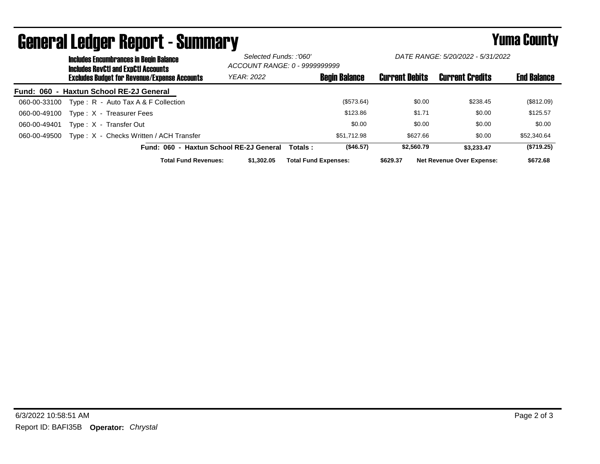|                  | <b>Includes Encumbrances in Begin Balance</b><br><b>Includes RevCtI and ExpCtI Accounts</b> |                                                     |                   | Selected Funds: :'060'<br>ACCOUNT RANGE: 0 - 9999999999 |                      | DATE RANGE: 5/20/2022 - 5/31/2022 |                                  |                    |
|------------------|---------------------------------------------------------------------------------------------|-----------------------------------------------------|-------------------|---------------------------------------------------------|----------------------|-----------------------------------|----------------------------------|--------------------|
|                  |                                                                                             | <b>Excludes Budget for Revenue/Expense Accounts</b> | <b>YEAR: 2022</b> |                                                         | <b>Begin Balance</b> | <b>Current Debits</b>             | <b>Current Credits</b>           | <b>End Balance</b> |
| <b>Fund: 060</b> |                                                                                             | - Haxtun School RE-2J General                       |                   |                                                         |                      |                                   |                                  |                    |
| 060-00-33100     |                                                                                             | Type: R - Auto Tax A & F Collection                 |                   |                                                         | (\$573.64)           | \$0.00                            | \$238.45                         | (\$812.09)         |
| 060-00-49100     |                                                                                             | Type: X - Treasurer Fees                            |                   |                                                         | \$123.86             | \$1.71                            | \$0.00                           | \$125.57           |
| 060-00-49401     |                                                                                             | Type: X - Transfer Out                              |                   |                                                         | \$0.00               | \$0.00                            | \$0.00                           | \$0.00             |
| 060-00-49500     |                                                                                             | Type: X - Checks Written / ACH Transfer             |                   |                                                         | \$51.712.98          | \$627.66                          | \$0.00                           | \$52,340.64        |
|                  |                                                                                             | Fund: 060 - Haxtun School RE-2J General             |                   | Totals:                                                 | (\$46.57)            | \$2,560.79                        | \$3.233.47                       | (\$719.25)         |
|                  |                                                                                             | <b>Total Fund Revenues:</b>                         | \$1,302.05        | <b>Total Fund Expenses:</b>                             |                      | \$629.37                          | <b>Net Revenue Over Expense:</b> | \$672.68           |

## General Ledger Report - Summary **Summary Yuma County**